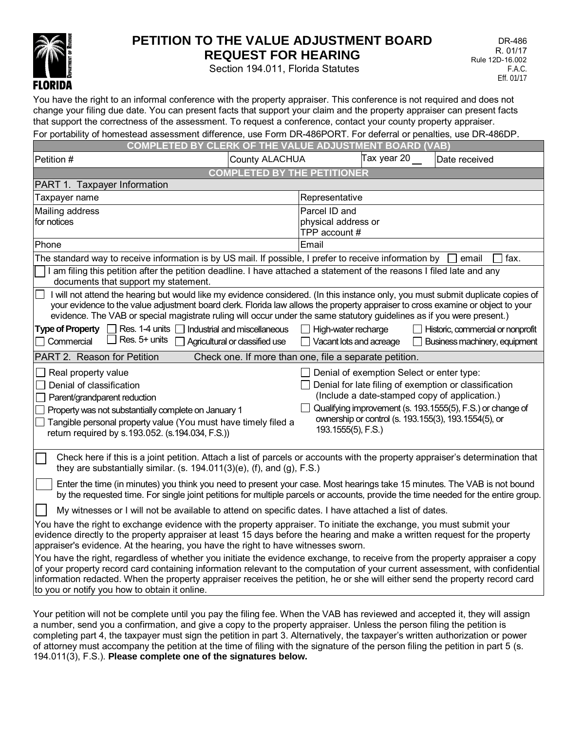

## **PETITION TO THE VALUE ADJUSTMENT BOARD REQUEST FOR HEARING**

Section 194.011, Florida Statutes

You have the right to an informal conference with the property appraiser. This conference is not required and does not change your filing due date. You can present facts that support your claim and the property appraiser can present facts that support the correctness of the assessment. To request a conference, contact your county property appraiser. For portability of homestead assessment difference, use Form DR-486PORT. For deferral or penalties, use DR-486DP.

| Ful purlability of humesteau assessment unterence, use Fullii DR-400FORT. Ful uelenarul penanies, use DR-400DF                                                                                                                                                                                                                                                                                                                                                                                                                                                                                                                                                                                                                                                                           |                                                                |                                                              |             |                                                                                                                                                                                                                                                                           |                                                                    |
|------------------------------------------------------------------------------------------------------------------------------------------------------------------------------------------------------------------------------------------------------------------------------------------------------------------------------------------------------------------------------------------------------------------------------------------------------------------------------------------------------------------------------------------------------------------------------------------------------------------------------------------------------------------------------------------------------------------------------------------------------------------------------------------|----------------------------------------------------------------|--------------------------------------------------------------|-------------|---------------------------------------------------------------------------------------------------------------------------------------------------------------------------------------------------------------------------------------------------------------------------|--------------------------------------------------------------------|
| OF THE VALUE ADJUSTMENT BOARD (VAB)<br><b>COMPLETED BY</b><br><b>CLERK</b>                                                                                                                                                                                                                                                                                                                                                                                                                                                                                                                                                                                                                                                                                                               |                                                                |                                                              |             |                                                                                                                                                                                                                                                                           |                                                                    |
| Petition #<br>County ALACHUA                                                                                                                                                                                                                                                                                                                                                                                                                                                                                                                                                                                                                                                                                                                                                             |                                                                |                                                              | Tax year 20 | Date received                                                                                                                                                                                                                                                             |                                                                    |
| <b>COMPLETED BY THE PETITIONER</b>                                                                                                                                                                                                                                                                                                                                                                                                                                                                                                                                                                                                                                                                                                                                                       |                                                                |                                                              |             |                                                                                                                                                                                                                                                                           |                                                                    |
| PART 1. Taxpayer Information                                                                                                                                                                                                                                                                                                                                                                                                                                                                                                                                                                                                                                                                                                                                                             |                                                                |                                                              |             |                                                                                                                                                                                                                                                                           |                                                                    |
| Taxpayer name                                                                                                                                                                                                                                                                                                                                                                                                                                                                                                                                                                                                                                                                                                                                                                            |                                                                | Representative                                               |             |                                                                                                                                                                                                                                                                           |                                                                    |
| Mailing address                                                                                                                                                                                                                                                                                                                                                                                                                                                                                                                                                                                                                                                                                                                                                                          |                                                                | Parcel ID and                                                |             |                                                                                                                                                                                                                                                                           |                                                                    |
| for notices                                                                                                                                                                                                                                                                                                                                                                                                                                                                                                                                                                                                                                                                                                                                                                              |                                                                | physical address or                                          |             |                                                                                                                                                                                                                                                                           |                                                                    |
| Phone                                                                                                                                                                                                                                                                                                                                                                                                                                                                                                                                                                                                                                                                                                                                                                                    |                                                                | TPP account #<br>Email                                       |             |                                                                                                                                                                                                                                                                           |                                                                    |
|                                                                                                                                                                                                                                                                                                                                                                                                                                                                                                                                                                                                                                                                                                                                                                                          |                                                                |                                                              |             |                                                                                                                                                                                                                                                                           |                                                                    |
| The standard way to receive information is by US mail. If possible, I prefer to receive information by $\square$<br>fax.<br>email<br>I am filing this petition after the petition deadline. I have attached a statement of the reasons I filed late and any                                                                                                                                                                                                                                                                                                                                                                                                                                                                                                                              |                                                                |                                                              |             |                                                                                                                                                                                                                                                                           |                                                                    |
| documents that support my statement.                                                                                                                                                                                                                                                                                                                                                                                                                                                                                                                                                                                                                                                                                                                                                     |                                                                |                                                              |             |                                                                                                                                                                                                                                                                           |                                                                    |
| I will not attend the hearing but would like my evidence considered. (In this instance only, you must submit duplicate copies of<br>your evidence to the value adjustment board clerk. Florida law allows the property appraiser to cross examine or object to your<br>evidence. The VAB or special magistrate ruling will occur under the same statutory guidelines as if you were present.)                                                                                                                                                                                                                                                                                                                                                                                            |                                                                |                                                              |             |                                                                                                                                                                                                                                                                           |                                                                    |
| Res. 1-4 units $\Box$<br><b>Type of Property</b><br>Res. 5+ units<br>Commercial                                                                                                                                                                                                                                                                                                                                                                                                                                                                                                                                                                                                                                                                                                          | Industrial and miscellaneous<br>Agricultural or classified use | $\Box$ High-water recharge<br>$\Box$ Vacant lots and acreage |             |                                                                                                                                                                                                                                                                           | Historic, commercial or nonprofit<br>Business machinery, equipment |
| PART 2. Reason for Petition<br>Check one. If more than one, file a separate petition.                                                                                                                                                                                                                                                                                                                                                                                                                                                                                                                                                                                                                                                                                                    |                                                                |                                                              |             |                                                                                                                                                                                                                                                                           |                                                                    |
| $\Box$ Real property value<br>Denial of classification<br>Parent/grandparent reduction<br>Property was not substantially complete on January 1<br>Tangible personal property value (You must have timely filed a<br>return required by s.193.052. (s.194.034, F.S.))                                                                                                                                                                                                                                                                                                                                                                                                                                                                                                                     |                                                                | 193.1555(5), F.S.)                                           |             | Denial of exemption Select or enter type:<br>Denial for late filing of exemption or classification<br>(Include a date-stamped copy of application.)<br>Qualifying improvement (s. 193.1555(5), F.S.) or change of<br>ownership or control (s. 193.155(3), 193.1554(5), or |                                                                    |
| Check here if this is a joint petition. Attach a list of parcels or accounts with the property appraiser's determination that<br>they are substantially similar. (s. $194.011(3)(e)$ , (f), and (g), F.S.)                                                                                                                                                                                                                                                                                                                                                                                                                                                                                                                                                                               |                                                                |                                                              |             |                                                                                                                                                                                                                                                                           |                                                                    |
| Enter the time (in minutes) you think you need to present your case. Most hearings take 15 minutes. The VAB is not bound<br>by the requested time. For single joint petitions for multiple parcels or accounts, provide the time needed for the entire group.                                                                                                                                                                                                                                                                                                                                                                                                                                                                                                                            |                                                                |                                                              |             |                                                                                                                                                                                                                                                                           |                                                                    |
| My witnesses or I will not be available to attend on specific dates. I have attached a list of dates.                                                                                                                                                                                                                                                                                                                                                                                                                                                                                                                                                                                                                                                                                    |                                                                |                                                              |             |                                                                                                                                                                                                                                                                           |                                                                    |
| You have the right to exchange evidence with the property appraiser. To initiate the exchange, you must submit your<br>evidence directly to the property appraiser at least 15 days before the hearing and make a written request for the property<br>appraiser's evidence. At the hearing, you have the right to have witnesses sworn.<br>You have the right, regardless of whether you initiate the evidence exchange, to receive from the property appraiser a copy<br>of your property record card containing information relevant to the computation of your current assessment, with confidential<br>information redacted. When the property appraiser receives the petition, he or she will either send the property record card<br>to you or notify you how to obtain it online. |                                                                |                                                              |             |                                                                                                                                                                                                                                                                           |                                                                    |
|                                                                                                                                                                                                                                                                                                                                                                                                                                                                                                                                                                                                                                                                                                                                                                                          |                                                                |                                                              |             |                                                                                                                                                                                                                                                                           |                                                                    |

Your petition will not be complete until you pay the filing fee. When the VAB has reviewed and accepted it, they will assign a number, send you a confirmation, and give a copy to the property appraiser. Unless the person filing the petition is completing part 4, the taxpayer must sign the petition in part 3. Alternatively, the taxpayer's written authorization or power of attorney must accompany the petition at the time of filing with the signature of the person filing the petition in part 5 (s. 194.011(3), F.S.). **Please complete one of the signatures below.**